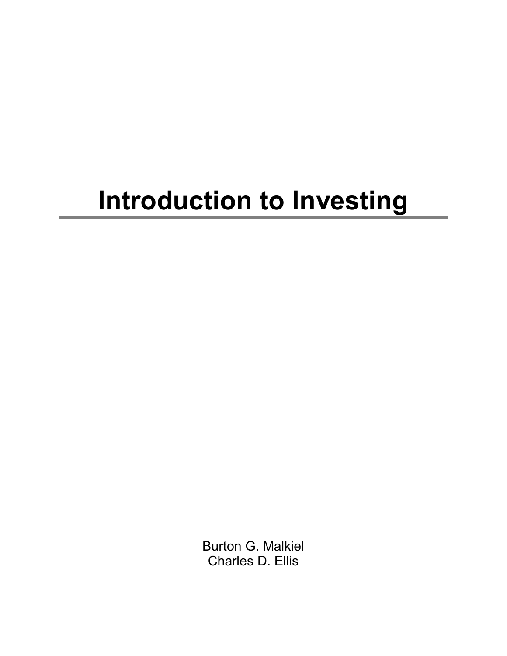## **Introduction to Investing**

Burton G. Malkiel Charles D. Ellis